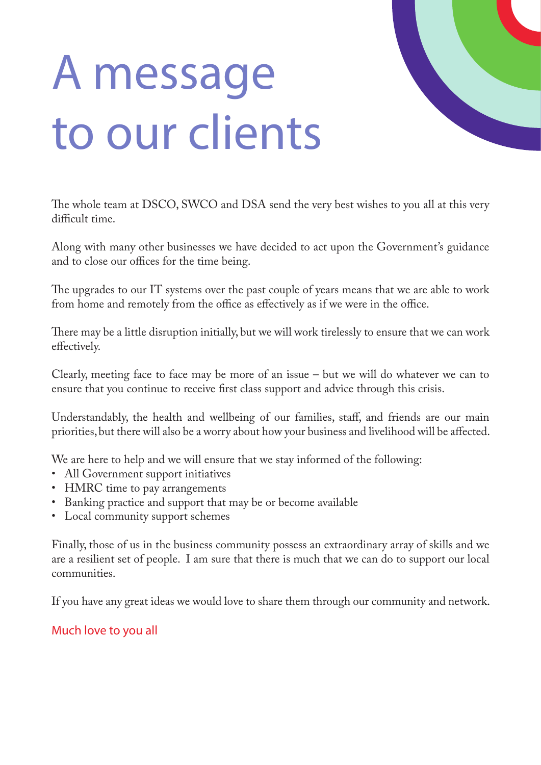# A message to our clients



The whole team at DSCO, SWCO and DSA send the very best wishes to you all at this very difficult time.

Along with many other businesses we have decided to act upon the Government's guidance and to close our offices for the time being.

The upgrades to our IT systems over the past couple of years means that we are able to work from home and remotely from the office as effectively as if we were in the office.

There may be a little disruption initially, but we will work tirelessly to ensure that we can work effectively.

Clearly, meeting face to face may be more of an issue – but we will do whatever we can to ensure that you continue to receive first class support and advice through this crisis.

Understandably, the health and wellbeing of our families, staff, and friends are our main priorities, but there will also be a worry about how your business and livelihood will be affected.

We are here to help and we will ensure that we stay informed of the following:

- All Government support initiatives
- HMRC time to pay arrangements
- Banking practice and support that may be or become available
- Local community support schemes

Finally, those of us in the business community possess an extraordinary array of skills and we are a resilient set of people. I am sure that there is much that we can do to support our local communities.

If you have any great ideas we would love to share them through our community and network.

### Much love to you all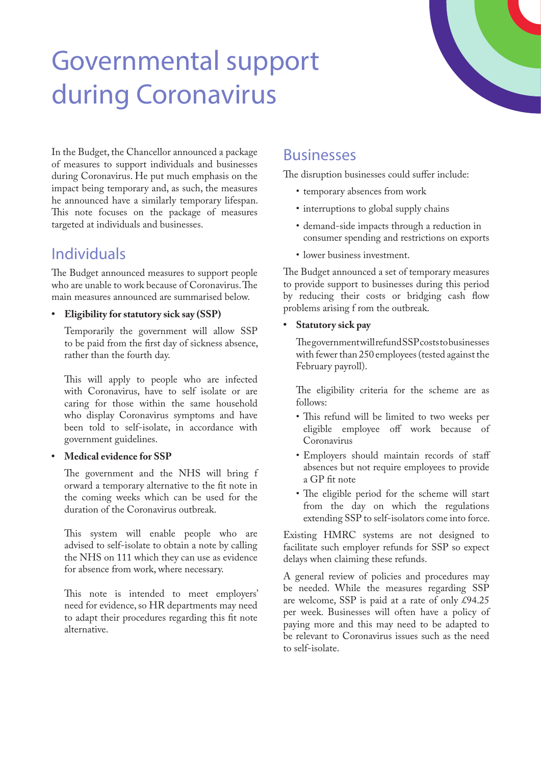# Governmental support during Coronavirus

In the Budget, the Chancellor announced a package of measures to support individuals and businesses during Coronavirus. He put much emphasis on the impact being temporary and, as such, the measures he announced have a similarly temporary lifespan. This note focuses on the package of measures targeted at individuals and businesses.

## Individuals

The Budget announced measures to support people who are unable to work because of Coronavirus. The main measures announced are summarised below.

**• Eligibility for statutory sick say (SSP)**

Temporarily the government will allow SSP to be paid from the first day of sickness absence, rather than the fourth day.

This will apply to people who are infected with Coronavirus, have to self isolate or are caring for those within the same household who display Coronavirus symptoms and have been told to self-isolate, in accordance with government guidelines.

### **• Medical evidence for SSP**

The government and the NHS will bring f orward a temporary alternative to the fit note in the coming weeks which can be used for the duration of the Coronavirus outbreak.

This system will enable people who are advised to self-isolate to obtain a note by calling the NHS on 111 which they can use as evidence for absence from work, where necessary.

This note is intended to meet employers' need for evidence, so HR departments may need to adapt their procedures regarding this fit note alternative.

### Businesses

The disruption businesses could suffer include:

- temporary absences from work
- interruptions to global supply chains
- demand-side impacts through a reduction in consumer spending and restrictions on exports
- lower business investment.

The Budget announced a set of temporary measures to provide support to businesses during this period by reducing their costs or bridging cash flow problems arising f rom the outbreak.

### **• Statutory sick pay**

The government will refund SSP costs to businesses with fewer than 250 employees (tested against the February payroll).

The eligibility criteria for the scheme are as follows:

- This refund will be limited to two weeks per eligible employee off work because of Coronavirus
- Employers should maintain records of staff absences but not require employees to provide a GP fit note
- The eligible period for the scheme will start from the day on which the regulations extending SSP to self-isolators come into force.

Existing HMRC systems are not designed to facilitate such employer refunds for SSP so expect delays when claiming these refunds.

A general review of policies and procedures may be needed. While the measures regarding SSP are welcome, SSP is paid at a rate of only £94.25 per week. Businesses will often have a policy of paying more and this may need to be adapted to be relevant to Coronavirus issues such as the need to self-isolate.